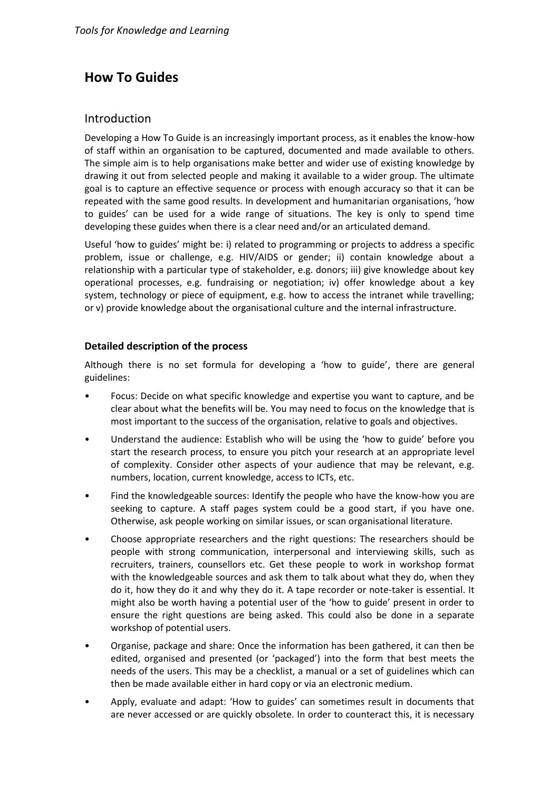# **How To Guides**

# Introduction

Developing a How To Guide is an increasingly important process, as it enables the know-how of staff within an organisation to be captured, documented and made available to others. The simple aim is to help organisations make better and wider use of existing knowledge by drawing it out from selected people and making it available to a wider group. The ultimate goal is to capture an effective sequence or process with enough accuracy so that it can be repeated with the same good results. In development and humanitarian organisations, 'how to guides' can be used for a wide range of situations. The key is only to spend time developing these guides when there is a clear need and/or an articulated demand.

Useful 'how to guides' might be: i) related to programming or projects to address a specific problem, issue or challenge, e.g. HIV/AIDS or gender; ii) contain knowledge about a relationship with a particular type of stakeholder, e.g. donors; iii) give knowledge about key operational processes, e.g. fundraising or negotiation; iv) offer knowledge about a key system, technology or piece of equipment, e.g. how to access the intranet while travelling; or v) provide knowledge about the organisational culture and the internal infrastructure.

# **Detailed description of the process**

Although there is no set formula for developing a 'how to guide', there are general guidelines:

- Focus: Decide on what specific knowledge and expertise you want to capture, and be clear about what the benefits will be. You may need to focus on the knowledge that is most important to the success of the organisation, relative to goals and objectives.
- Understand the audience: Establish who will be using the 'how to guide' before you start the research process, to ensure you pitch your research at an appropriate level of complexity. Consider other aspects of your audience that may be relevant, e.g. numbers, location, current knowledge, access to ICTs, etc.
- Find the knowledgeable sources: Identify the people who have the know-how you are seeking to capture. A staff pages system could be a good start, if you have one. Otherwise, ask people working on similar issues, or scan organisational literature.
- Choose appropriate researchers and the right questions: The researchers should be people with strong communication, interpersonal and interviewing skills, such as recruiters, trainers, counsellors etc. Get these people to work in workshop format with the knowledgeable sources and ask them to talk about what they do, when they do it, how they do it and why they do it. A tape recorder or note-taker is essential. It might also be worth having a potential user of the 'how to guide' present in order to ensure the right questions are being asked. This could also be done in a separate workshop of potential users.
- Organise, package and share: Once the information has been gathered, it can then be edited, organised and presented (or 'packaged') into the form that best meets the needs of the users. This may be a checklist, a manual or a set of guidelines which can then be made available either in hard copy or via an electronic medium.
- Apply, evaluate and adapt: 'How to guides' can sometimes result in documents that are never accessed or are quickly obsolete. In order to counteract this, it is necessary